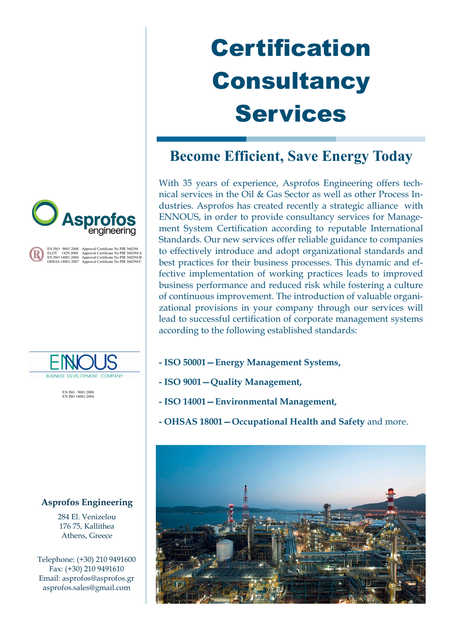# **Certification Consultancy** Services

# **Become Efficient, Save Energy Today**

With 35 years of experience, Asprofos Engineering offers technical services in the Oil & Gas Sector as well as other Process Industries. Asprofos has created recently a strategic alliance with ENNOUS, in order to provide consultancy services for Management System Certification according to reputable International Standards. Our new services offer reliable guidance to companies to effectively introduce and adopt organizational standards and best practices for their business processes. This dynamic and effective implementation of working practices leads to improved business performance and reduced risk while fostering a culture of continuous improvement. The introduction of valuable organizational provisions in your company through our services will lead to successful certification of corporate management systems according to the following established standards:

- **- ISO 50001—Energy Management Systems,**
- **- ISO 9001—Quality Management,**
- **- ISO 14001—Environmental Management,**
- **- OHSAS 18001—Occupational Health and Safety** and more.





EN ISO 9001:2008 Approval Certificate No PIR 360294<br>ELOT 1429:2008 Approval Certificate No PIR 360294/B<br>EN ISO 14001:2004 Approval Certificate No PIR 360294/C<br>OHSAS 18001:2007 Approval Certificate No PIR 360294/C



EN ISO 9001:2008 EN ISO 14001:2004

# **Asprofos Engineering**

284 El. Venizelou 176 75, Kallithea Athens, Greece

Telephone: (+30) 210 9491600 Fax: (+30) 210 9491610 Email: asprofos@asprofos.gr asprofos.sales@gmail.com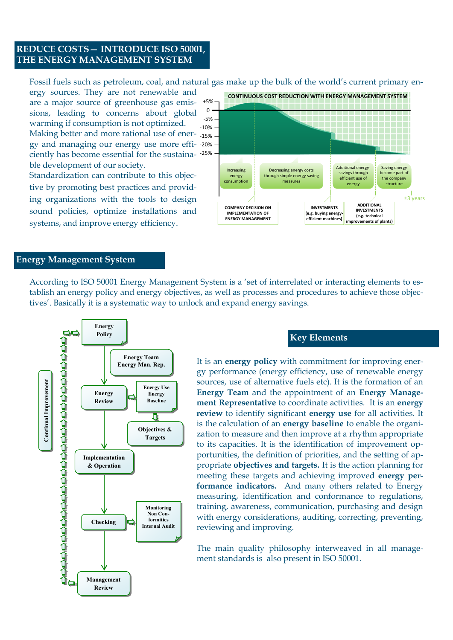## **REDUCE COSTS— INTRODUCE ISO 50001, THE ENERGY MANAGEMENT SYSTEM**

Fossil fuels such as petroleum, coal, and natural gas make up the bulk of the world's current primary en-

ergy sources. They are not renewable and are a major source of greenhouse gas emissions, leading to concerns about global warming if consumption is not optimized. Making better and more rational use of ener--15% gy and managing our energy use more effi--20% ciently has become essential for the sustainable development of our society. +5% 0 -5% -10% -25%

Standardization can contribute to this objective by promoting best practices and providing organizations with the tools to design sound policies, optimize installations and systems, and improve energy efficiency.



#### **Energy Management System**

According to ISO 50001 Energy Management System is a 'set of interrelated or interacting elements to establish an energy policy and energy objectives, as well as processes and procedures to achieve those objectives'. Basically it is a systematic way to unlock and expand energy savings.



#### **Key Elements**

It is an **energy policy** with commitment for improving energy performance (energy efficiency, use of renewable energy sources, use of alternative fuels etc). It is the formation of an **Energy Team** and the appointment of an **Energy Management Representative** to coordinate activities. It is an **energy review** to identify significant **energy use** for all activities. It is the calculation of an **energy baseline** to enable the organization to measure and then improve at a rhythm appropriate to its capacities. It is the identification of improvement opportunities, the definition of priorities, and the setting of appropriate **objectives and targets.** It is the action planning for meeting these targets and achieving improved **energy performance indicators.** And many others related to Energy measuring, identification and conformance to regulations, training, awareness, communication, purchasing and design with energy considerations, auditing, correcting, preventing, reviewing and improving.

The main quality philosophy interweaved in all management standards is also present in ISO 50001.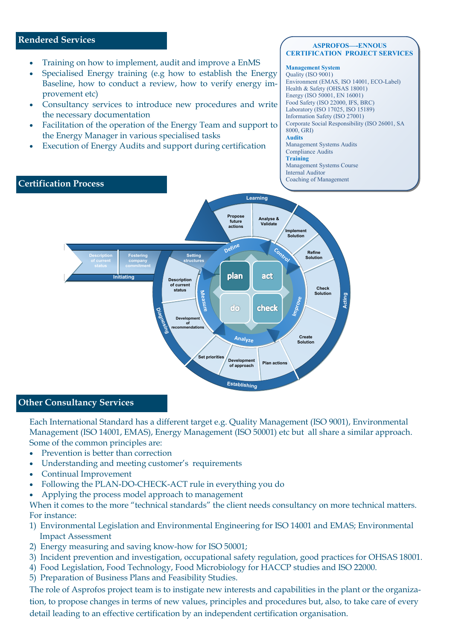### **Rendered Services**

- Training on how to implement, audit and improve a EnMS
- Specialised Energy training (e.g how to establish the Energy Baseline, how to conduct a review, how to verify energy improvement etc)
- Consultancy services to introduce new procedures and write the necessary documentation
- Facilitation of the operation of the Energy Team and support to the Energy Manager in various specialised tasks
- Execution of Energy Audits and support during certification

#### **ASPROFOS—-ENNOUS CERTIFICATION PROJECT SERVICES**

#### **Management System**

Quality (ISO 9001) Environment (EMAS, ISO 14001, ECO-Label) Health & Safety (OHSAS 18001) Energy (ISO 50001, EN 16001) Food Safety (ISO 22000, IFS, BRC) Laboratory (ISO 17025, ISO 15189) Information Safety (ISO 27001) Corporate Social Responsibility (ISO 26001, SA 8000, GRI) **Audits**  Management Systems Audits Compliance Audits **Training** Management Systems Course Internal Auditor



## **Other Consultancy Services**

Each International Standard has a different target e.g. Quality Management (ISO 9001), Environmental Management (ISO 14001, EMAS), Energy Management (ISO 50001) etc but all share a similar approach. Some of the common principles are:

- Prevention is better than correction
- Understanding and meeting customer's requirements
- Continual Improvement
- Following the PLAN-DO-CHECK-ACT rule in everything you do
- Applying the process model approach to management

When it comes to the more "technical standards" the client needs consultancy on more technical matters. For instance:

- 1) Environmental Legislation and Environmental Engineering for ISO 14001 and EMAS; Environmental Impact Assessment
- 2) Energy measuring and saving know-how for ISO 50001;
- 3) Incident prevention and investigation, occupational safety regulation, good practices for OHSAS 18001.
- 4) Food Legislation, Food Technology, Food Microbiology for HACCP studies and ISO 22000.
- 5) Preparation of Business Plans and Feasibility Studies.

The role of Asprofos project team is to instigate new interests and capabilities in the plant or the organization, to propose changes in terms of new values, principles and procedures but, also, to take care of every detail leading to an effective certification by an independent certification organisation.